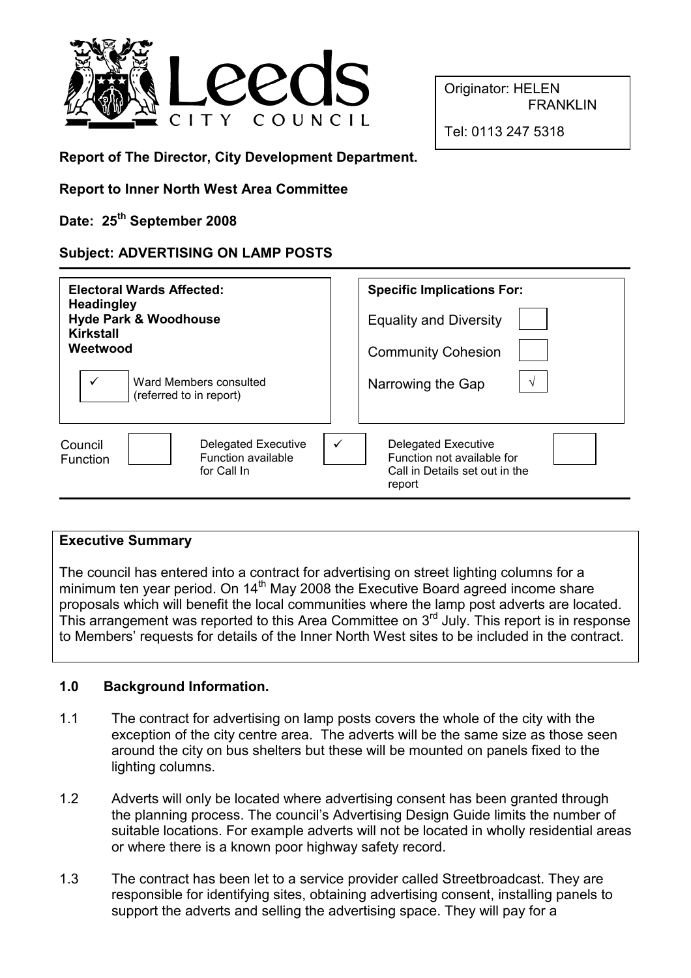

Originator: HELEN **FRANKLIN** 

Tel: 0113 247 5318

Report of The Director, City Development Department.

Report to Inner North West Area Committee

Date: 25<sup>th</sup> September 2008

# Subject: ADVERTISING ON LAMP POSTS

| <b>Electoral Wards Affected:</b><br><b>Headingley</b><br><b>Hyde Park &amp; Woodhouse</b><br><b>Kirkstall</b><br>Weetwood | <b>Specific Implications For:</b><br><b>Equality and Diversity</b><br><b>Community Cohesion</b>           |  |
|---------------------------------------------------------------------------------------------------------------------------|-----------------------------------------------------------------------------------------------------------|--|
| $\checkmark$<br>Ward Members consulted<br>(referred to in report)                                                         | $\sqrt{ }$<br>Narrowing the Gap                                                                           |  |
| <b>Delegated Executive</b><br>Council<br>Function available<br><b>Function</b><br>for Call In                             | ✓<br><b>Delegated Executive</b><br>Function not available for<br>Call in Details set out in the<br>report |  |

### Executive Summary

The council has entered into a contract for advertising on street lighting columns for a minimum ten year period. On  $14<sup>th</sup>$  May 2008 the Executive Board agreed income share proposals which will benefit the local communities where the lamp post adverts are located. This arrangement was reported to this Area Committee on  $3<sup>rd</sup>$  July. This report is in response to Members' requests for details of the Inner North West sites to be included in the contract.

# 1.0 Background Information.

- 1.1 The contract for advertising on lamp posts covers the whole of the city with the exception of the city centre area. The adverts will be the same size as those seen around the city on bus shelters but these will be mounted on panels fixed to the lighting columns.
- 1.2 Adverts will only be located where advertising consent has been granted through the planning process. The council's Advertising Design Guide limits the number of suitable locations. For example adverts will not be located in wholly residential areas or where there is a known poor highway safety record.
- 1.3 The contract has been let to a service provider called Streetbroadcast. They are responsible for identifying sites, obtaining advertising consent, installing panels to support the adverts and selling the advertising space. They will pay for a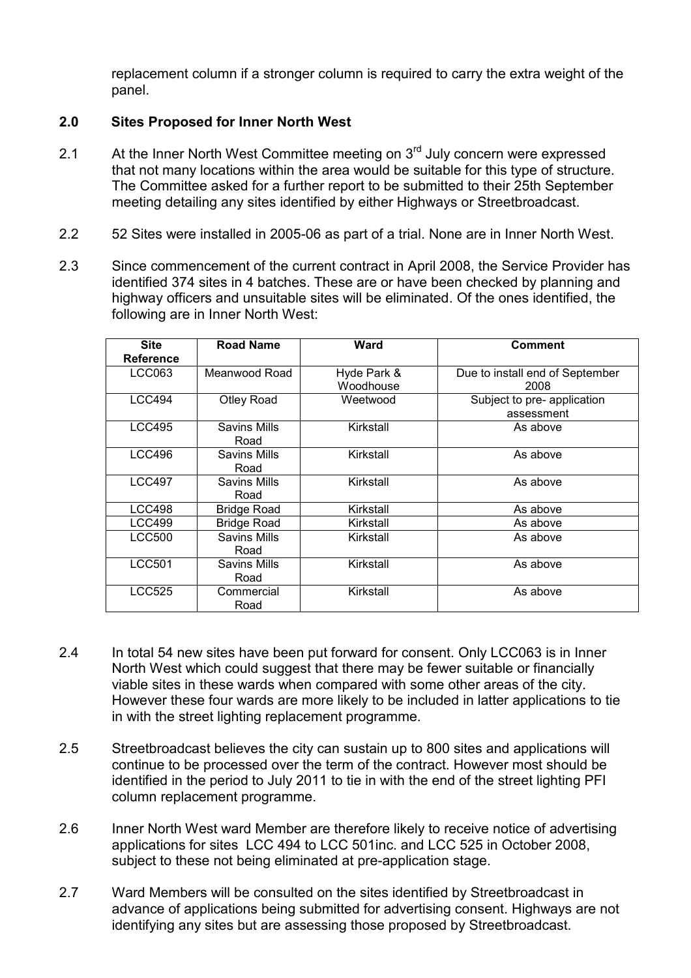replacement column if a stronger column is required to carry the extra weight of the panel.

# 2.0 Sites Proposed for Inner North West

- 2.1 At the Inner North West Committee meeting on  $3<sup>rd</sup>$  July concern were expressed that not many locations within the area would be suitable for this type of structure. The Committee asked for a further report to be submitted to their 25th September meeting detailing any sites identified by either Highways or Streetbroadcast.
- 2.2 52 Sites were installed in 2005-06 as part of a trial. None are in Inner North West.
- 2.3 Since commencement of the current contract in April 2008, the Service Provider has identified 374 sites in 4 batches. These are or have been checked by planning and highway officers and unsuitable sites will be eliminated. Of the ones identified, the following are in Inner North West:

| <b>Site</b><br><b>Reference</b> | <b>Road Name</b>            | <b>Ward</b>              | <b>Comment</b>                            |
|---------------------------------|-----------------------------|--------------------------|-------------------------------------------|
| LCC063                          | Meanwood Road               | Hyde Park &<br>Woodhouse | Due to install end of September<br>2008   |
| <b>LCC494</b>                   | <b>Otley Road</b>           | Weetwood                 | Subject to pre- application<br>assessment |
| <b>LCC495</b>                   | <b>Savins Mills</b><br>Road | Kirkstall                | As above                                  |
| <b>LCC496</b>                   | Savins Mills<br>Road        | Kirkstall                | As above                                  |
| <b>LCC497</b>                   | <b>Savins Mills</b><br>Road | Kirkstall                | As above                                  |
| <b>LCC498</b>                   | <b>Bridge Road</b>          | Kirkstall                | As above                                  |
| <b>LCC499</b>                   | <b>Bridge Road</b>          | Kirkstall                | As above                                  |
| <b>LCC500</b>                   | <b>Savins Mills</b><br>Road | Kirkstall                | As above                                  |
| <b>LCC501</b>                   | <b>Savins Mills</b><br>Road | Kirkstall                | As above                                  |
| LCC525                          | Commercial<br>Road          | Kirkstall                | As above                                  |

- 2.4 In total 54 new sites have been put forward for consent. Only LCC063 is in Inner North West which could suggest that there may be fewer suitable or financially viable sites in these wards when compared with some other areas of the city. However these four wards are more likely to be included in latter applications to tie in with the street lighting replacement programme.
- 2.5 Streetbroadcast believes the city can sustain up to 800 sites and applications will continue to be processed over the term of the contract. However most should be identified in the period to July 2011 to tie in with the end of the street lighting PFI column replacement programme.
- 2.6 Inner North West ward Member are therefore likely to receive notice of advertising applications for sites LCC 494 to LCC 501inc. and LCC 525 in October 2008, subject to these not being eliminated at pre-application stage.
- 2.7 Ward Members will be consulted on the sites identified by Streetbroadcast in advance of applications being submitted for advertising consent. Highways are not identifying any sites but are assessing those proposed by Streetbroadcast.